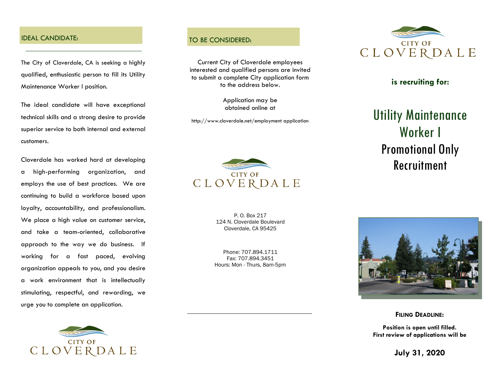#### **IDEAL CANDIDATE:** TO BE CONSIDERED:

The City of Cloverdale, CA is seeking a highly qualified, enthusiastic person to fill its Utility Maintenance Worker I position.

The ideal candidate will have exceptional technical skills and a strong desire to provide superior service to both internal and external customers.

Cloverdale has worked hard at developing a high-performing organization, and employs the use of best practices. We are continuing to build a workforce based upon loyalty, accountability, and professionalism. We place a high value on customer service, and take a team-oriented, collaborative approach to the way we do business. If working for a fast paced, evolving organization appeals to you, and you desire a work environment that is intellectually stimulating, respectful, and rewarding, we urge you to complete an application.



Current City of Cloverdale employees interested and qualified persons are invited to submit a complete City application form to the address below.

> Application may be obtained online at

http://www.cloverdale.net/employment application



P. O. Box 217 124 N. Cloverdale Boulevard Cloverdale, CA 95425

Phone: 707.894.1711 Fax: 707.894.3451 Hours: Mon - Thurs, 8am-5pm



#### **is recruiting for:**

# Utility Maintenance Worker I Promotional Only Recruitment



**FILING DEADLINE:**

**Position is open until filled. First review of applications will be** 

**July 31, 2020**